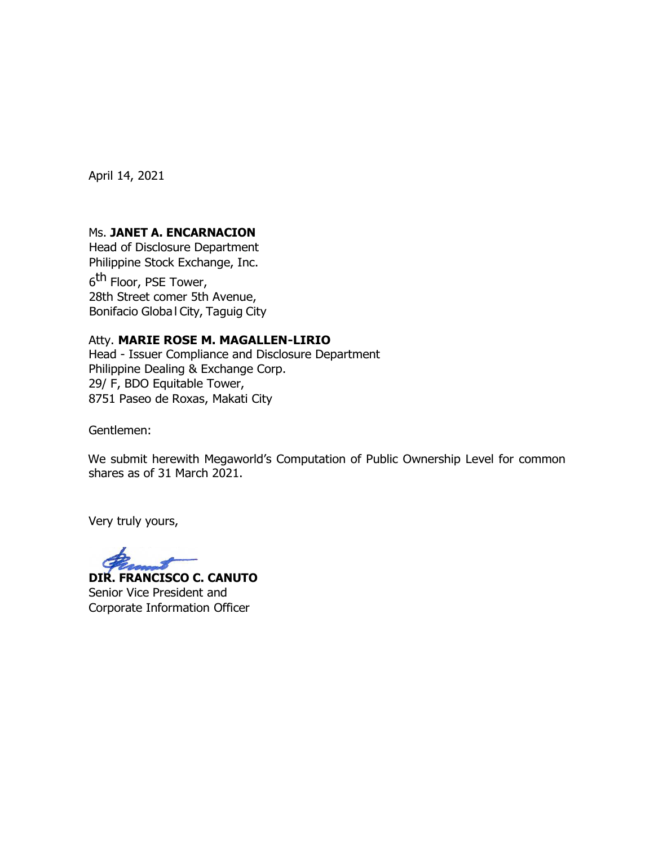April 14, 2021

## Ms. **JANET A. ENCARNACION**

Head of Disclosure Department Philippine Stock Exchange, Inc.

6<sup>th</sup> Floor, PSE Tower, 28th Street comer 5th Avenue, Bonifacio Globa l City, Taguig City

## Atty. **MARIE ROSE M. MAGALLEN-LIRIO**

Head - Issuer Compliance and Disclosure Department Philippine Dealing & Exchange Corp. 29/ F, BDO Equitable Tower, 8751 Paseo de Roxas, Makati City

Gentlemen:

We submit herewith Megaworld's Computation of Public Ownership Level for common shares as of 31 March 2021.

Very truly yours,

**DIR. FRANCISCO C. CANUTO** Senior Vice President and Corporate Information Officer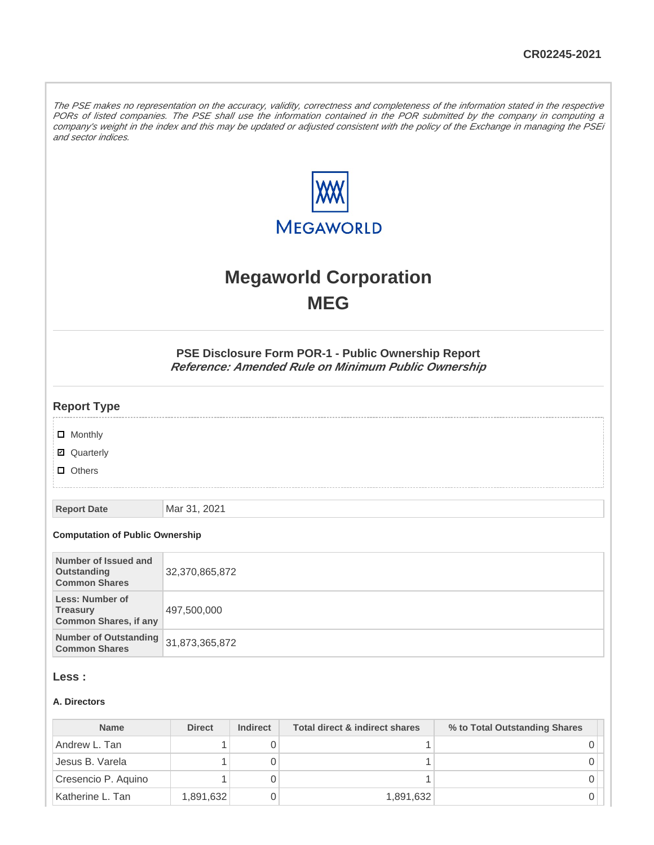The PSE makes no representation on the accuracy, validity, correctness and completeness of the information stated in the respective PORs of listed companies. The PSE shall use the information contained in the POR submitted by the company in computing a company's weight in the index and this may be updated or adjusted consistent with the policy of the Exchange in managing the PSEi and sector indices.



# **Megaworld Corporation MEG**

**PSE Disclosure Form POR-1 - Public Ownership Report Reference: Amended Rule on Minimum Public Ownership**

#### **Report Type**

**D** Monthly

■ Quarterly

**D** Others

**Report Date** Mar 31, 2021

#### **Computation of Public Ownership**

| Number of Issued and<br>Outstanding<br><b>Common Shares</b>               | 32,370,865,872 |
|---------------------------------------------------------------------------|----------------|
| <b>Less: Number of</b><br><b>Treasury</b><br><b>Common Shares, if any</b> | 497,500,000    |
| Number of Outstanding 31,873,365,872<br><b>Common Shares</b>              |                |

## **Less :**

#### **A. Directors**

| <b>Name</b>         | <b>Direct</b> | <b>Indirect</b> | Total direct & indirect shares | % to Total Outstanding Shares |
|---------------------|---------------|-----------------|--------------------------------|-------------------------------|
| Andrew L. Tan       |               |                 |                                |                               |
| Jesus B. Varela     |               |                 |                                |                               |
| Cresencio P. Aquino |               |                 |                                |                               |
| Katherine L. Tan    | 1,891,632     |                 | 1,891,632                      |                               |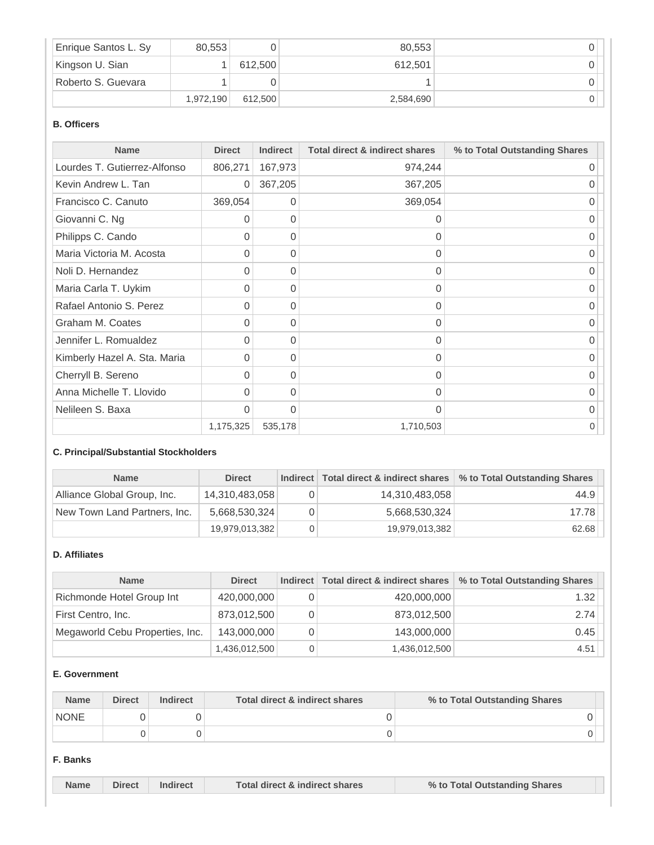| Enrique Santos L. Sy | 80.553    |         | 80.553    |  |
|----------------------|-----------|---------|-----------|--|
| Kingson U. Sian      |           | 612.500 | 612.501   |  |
| Roberto S. Guevara   |           |         |           |  |
|                      | 1,972,190 | 612.500 | 2,584,690 |  |

#### **B. Officers**

| <b>Name</b>                  | <b>Direct</b> | <b>Indirect</b> | <b>Total direct &amp; indirect shares</b> | % to Total Outstanding Shares |
|------------------------------|---------------|-----------------|-------------------------------------------|-------------------------------|
| Lourdes T. Gutierrez-Alfonso | 806,271       | 167,973         | 974,244                                   | 0                             |
| Kevin Andrew L. Tan          | 0             | 367,205         | 367,205                                   |                               |
| Francisco C. Canuto          | 369,054       | 0               | 369,054                                   | $\Omega$                      |
| Giovanni C. Ng               | 0             | 0               | 0                                         | 0                             |
| Philipps C. Cando            | 0             | 0               | 0                                         | 0                             |
| Maria Victoria M. Acosta     | 0             | 0               | 0                                         | 0                             |
| Noli D. Hernandez            | 0             | 0               | 0                                         | U                             |
| Maria Carla T. Uykim         | 0             | 0               | 0                                         | $\Omega$                      |
| Rafael Antonio S. Perez      | 0             | 0               | 0                                         | 0                             |
| Graham M. Coates             | 0             | 0               | 0                                         | 0                             |
| Jennifer L. Romualdez        | 0             | 0               | $\Omega$                                  | 0                             |
| Kimberly Hazel A. Sta. Maria | 0             | 0               | $\Omega$                                  | ∩                             |
| Cherryll B. Sereno           | 0             | 0               | 0                                         | O                             |
| Anna Michelle T. Llovido     | 0             | $\Omega$        | 0                                         | 0                             |
| Nelileen S. Baxa             | $\Omega$      | $\Omega$        | $\Omega$                                  | U                             |
|                              | 1,175,325     | 535,178         | 1,710,503                                 | 0                             |

## **C. Principal/Substantial Stockholders**

| <b>Name</b>                  | <b>Direct</b>  |                | Indirect Total direct & indirect shares \ % to Total Outstanding Shares |
|------------------------------|----------------|----------------|-------------------------------------------------------------------------|
| Alliance Global Group, Inc.  | 14,310,483,058 | 14,310,483,058 | 44.9                                                                    |
| New Town Land Partners, Inc. | 5,668,530,324  | 5,668,530,324  | 17.78                                                                   |
|                              | 19,979,013,382 | 19,979,013,382 | 62.68                                                                   |

#### **D. Affiliates**

| <b>Name</b>                     | <b>Direct</b> | Indirect   Total direct & indirect shares | % to Total Outstanding Shares |
|---------------------------------|---------------|-------------------------------------------|-------------------------------|
| Richmonde Hotel Group Int       | 420,000,000   | 420,000,000                               | 1.32                          |
| First Centro, Inc.              | 873,012,500   | 873,012,500                               | 2.74                          |
| Megaworld Cebu Properties, Inc. | 143,000,000   | 143,000,000                               | 0.45                          |
|                                 | 1,436,012,500 | 1,436,012,500                             | 4.51                          |

#### **E. Government**

| <b>Name</b> | <b>Direct</b> | <b>Indirect</b> | Total direct & indirect shares | % to Total Outstanding Shares |
|-------------|---------------|-----------------|--------------------------------|-------------------------------|
| <b>NONE</b> |               |                 |                                |                               |
|             |               |                 |                                |                               |

#### **F. Banks**

|  | <b>Name</b> | <b>Direct</b> | Total direct & indirect shares | % to Total Outstanding Shares |  |
|--|-------------|---------------|--------------------------------|-------------------------------|--|
|--|-------------|---------------|--------------------------------|-------------------------------|--|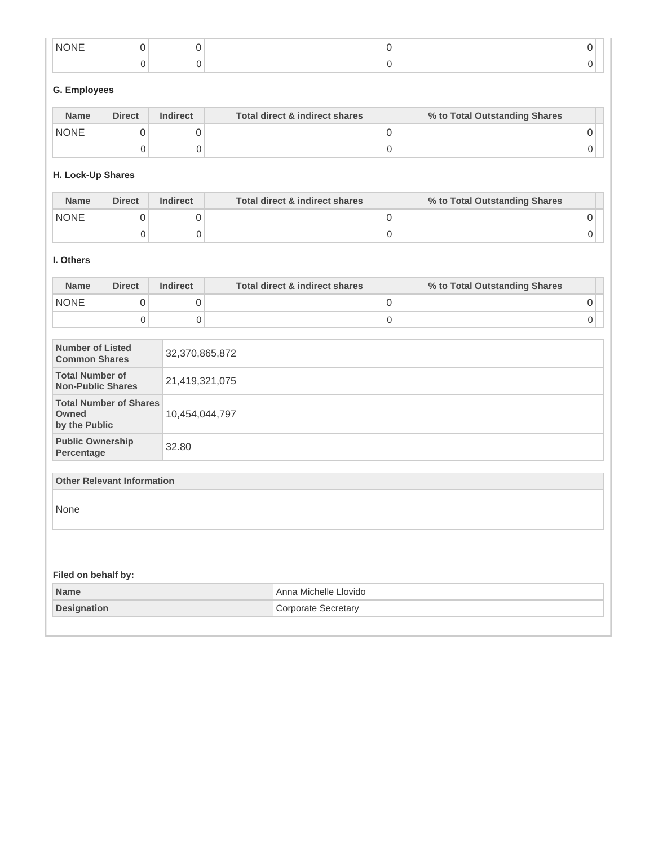| NK<br><b>INI</b> |  |  |
|------------------|--|--|
|                  |  |  |

# **G. Employees**

| <b>Name</b> | <b>Direct</b> | <b>Indirect</b> | Total direct & indirect shares | % to Total Outstanding Shares |  |
|-------------|---------------|-----------------|--------------------------------|-------------------------------|--|
| <b>NONE</b> |               |                 |                                |                               |  |
|             |               |                 |                                |                               |  |

## **H. Lock-Up Shares**

| <b>Name</b> | <b>Direct</b> | <b>Indirect</b> | Total direct & indirect shares | % to Total Outstanding Shares |
|-------------|---------------|-----------------|--------------------------------|-------------------------------|
| <b>NONE</b> |               |                 |                                |                               |
|             |               |                 |                                |                               |

#### **I. Others**

| <b>Name</b> | <b>Direct</b> | <b>Indirect</b> | Total direct & indirect shares | % to Total Outstanding Shares |  |
|-------------|---------------|-----------------|--------------------------------|-------------------------------|--|
| <b>NONE</b> |               |                 |                                |                               |  |
|             |               |                 |                                |                               |  |

| Number of Listed<br><b>Common Shares</b>                | 32,370,865,872 |
|---------------------------------------------------------|----------------|
| <b>Total Number of</b><br><b>Non-Public Shares</b>      | 21,419,321,075 |
| <b>Total Number of Shares</b><br>Owned<br>by the Public | 10,454,044,797 |
| <b>Public Ownership</b><br>Percentage                   | 32.80          |

#### **Other Relevant Information**

None

# **Filed on behalf by:**

| <b>Name</b><br>l Anna Michelle Llovido I  |  |
|-------------------------------------------|--|
| Corporate Secretary<br><b>Designation</b> |  |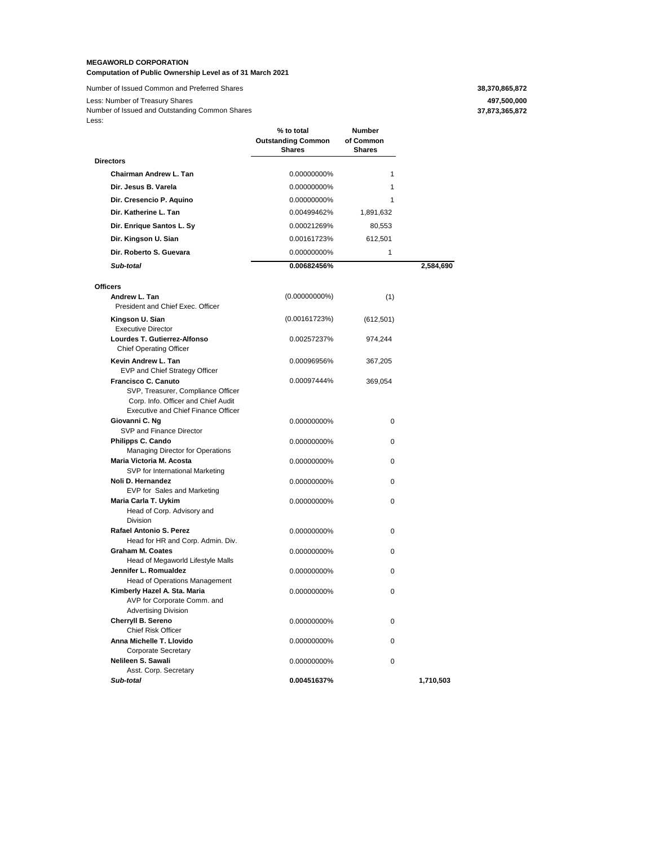#### **MEGAWORLD CORPORATION**

**Computation of Public Ownership Level as of 31 March 2021**

Number of Issued Common and Preferred Shares **38,370,865,872** 38,370,865,872

Less: Number of Treasury Shares **497,500,000** Less: Number of Issued and Outstanding Common Shares

**37,873,365,872**

| ∟∪∪.                                                                                                                                           | % to total<br><b>Outstanding Common</b><br><b>Shares</b> | Number<br>of Common<br><b>Shares</b> |           |
|------------------------------------------------------------------------------------------------------------------------------------------------|----------------------------------------------------------|--------------------------------------|-----------|
| <b>Directors</b>                                                                                                                               |                                                          |                                      |           |
| <b>Chairman Andrew L. Tan</b>                                                                                                                  | 0.00000000%                                              | $\mathbf{1}$                         |           |
| Dir. Jesus B. Varela                                                                                                                           | 0.00000000%                                              | $\mathbf{1}$                         |           |
| Dir. Cresencio P. Aquino                                                                                                                       | 0.00000000%                                              | 1                                    |           |
| Dir. Katherine L. Tan                                                                                                                          | 0.00499462%                                              | 1,891,632                            |           |
|                                                                                                                                                |                                                          |                                      |           |
| Dir. Enrique Santos L. Sy                                                                                                                      | 0.00021269%                                              | 80,553                               |           |
| Dir. Kingson U. Sian                                                                                                                           | 0.00161723%                                              | 612,501                              |           |
| Dir. Roberto S. Guevara                                                                                                                        | 0.00000000%                                              | 1                                    |           |
| Sub-total                                                                                                                                      | 0.00682456%                                              |                                      | 2,584,690 |
| <b>Officers</b>                                                                                                                                |                                                          |                                      |           |
| Andrew L. Tan<br>President and Chief Exec. Officer                                                                                             | $(0.00000000\%)$                                         | (1)                                  |           |
| Kingson U. Sian<br><b>Executive Director</b>                                                                                                   | (0.00161723%)                                            | (612, 501)                           |           |
| Lourdes T. Gutierrez-Alfonso<br><b>Chief Operating Officer</b>                                                                                 | 0.00257237%                                              | 974.244                              |           |
| Kevin Andrew L. Tan<br>EVP and Chief Strategy Officer                                                                                          | 0.00096956%                                              | 367,205                              |           |
| Francisco C. Canuto<br>SVP, Treasurer, Compliance Officer<br>Corp. Info. Officer and Chief Audit<br><b>Executive and Chief Finance Officer</b> | 0.00097444%                                              | 369,054                              |           |
| Giovanni C. Ng<br>SVP and Finance Director                                                                                                     | 0.00000000%                                              | 0                                    |           |
| Philipps C. Cando<br><b>Managing Director for Operations</b>                                                                                   | 0.00000000%                                              | 0                                    |           |
| Maria Victoria M. Acosta<br>SVP for International Marketing                                                                                    | 0.00000000%                                              | 0                                    |           |
| Noli D. Hernandez<br>EVP for Sales and Marketing                                                                                               | 0.00000000%                                              | 0                                    |           |
| Maria Carla T. Uykim<br>Head of Corp. Advisory and<br>Division                                                                                 | 0.00000000%                                              | 0                                    |           |
| Rafael Antonio S. Perez<br>Head for HR and Corp. Admin. Div.                                                                                   | 0.00000000%                                              | 0                                    |           |
| <b>Graham M. Coates</b><br>Head of Megaworld Lifestyle Malls                                                                                   | 0.00000000%                                              | 0                                    |           |
| Jennifer L. Romualdez<br>Head of Operations Management                                                                                         | 0.00000000%                                              | 0                                    |           |
| Kimberly Hazel A. Sta. Maria<br>AVP for Corporate Comm. and<br><b>Advertising Division</b>                                                     | 0.00000000%                                              | 0                                    |           |
| Cherryll B. Sereno<br>Chief Risk Officer                                                                                                       | 0.00000000%                                              | 0                                    |           |
| Anna Michelle T. Llovido<br>Corporate Secretary                                                                                                | 0.00000000%                                              | 0                                    |           |
| Nelileen S. Sawali<br>Asst. Corp. Secretary                                                                                                    | 0.00000000%                                              | 0                                    |           |
| Sub-total                                                                                                                                      | 0.00451637%                                              |                                      | 1,710,503 |